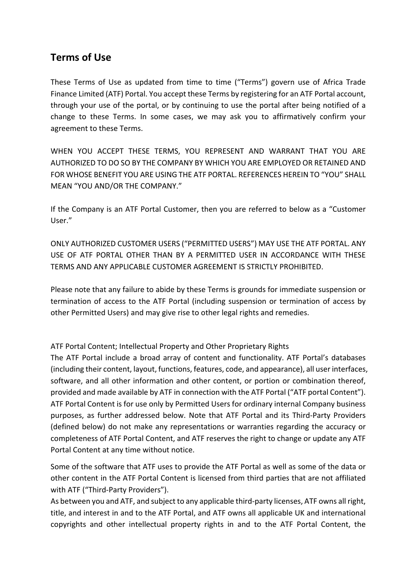# **Terms of Use**

These Terms of Use as updated from time to time ("Terms") govern use of Africa Trade Finance Limited (ATF) Portal. You accept these Terms by registering for an ATF Portal account, through your use of the portal, or by continuing to use the portal after being notified of a change to these Terms. In some cases, we may ask you to affirmatively confirm your agreement to these Terms.

WHEN YOU ACCEPT THESE TERMS, YOU REPRESENT AND WARRANT THAT YOU ARE AUTHORIZED TO DO SO BY THE COMPANY BY WHICH YOU ARE EMPLOYED OR RETAINED AND FOR WHOSE BENEFIT YOU ARE USING THE ATF PORTAL. REFERENCES HEREIN TO "YOU" SHALL MEAN "YOU AND/OR THE COMPANY."

If the Company is an ATF Portal Customer, then you are referred to below as a "Customer User."

ONLY AUTHORIZED CUSTOMER USERS ("PERMITTED USERS") MAY USE THE ATF PORTAL. ANY USE OF ATF PORTAL OTHER THAN BY A PERMITTED USER IN ACCORDANCE WITH THESE TERMS AND ANY APPLICABLE CUSTOMER AGREEMENT IS STRICTLY PROHIBITED.

Please note that any failure to abide by these Terms is grounds for immediate suspension or termination of access to the ATF Portal (including suspension or termination of access by other Permitted Users) and may give rise to other legal rights and remedies.

ATF Portal Content; Intellectual Property and Other Proprietary Rights

The ATF Portal include a broad array of content and functionality. ATF Portal's databases (including their content, layout, functions, features, code, and appearance), all user interfaces, software, and all other information and other content, or portion or combination thereof, provided and made available by ATF in connection with the ATF Portal ("ATF portal Content"). ATF Portal Content is for use only by Permitted Users for ordinary internal Company business purposes, as further addressed below. Note that ATF Portal and its Third-Party Providers (defined below) do not make any representations or warranties regarding the accuracy or completeness of ATF Portal Content, and ATF reserves the right to change or update any ATF Portal Content at any time without notice.

Some of the software that ATF uses to provide the ATF Portal as well as some of the data or other content in the ATF Portal Content is licensed from third parties that are not affiliated with ATF ("Third-Party Providers").

As between you and ATF, and subject to any applicable third-party licenses, ATF owns all right, title, and interest in and to the ATF Portal, and ATF owns all applicable UK and international copyrights and other intellectual property rights in and to the ATF Portal Content, the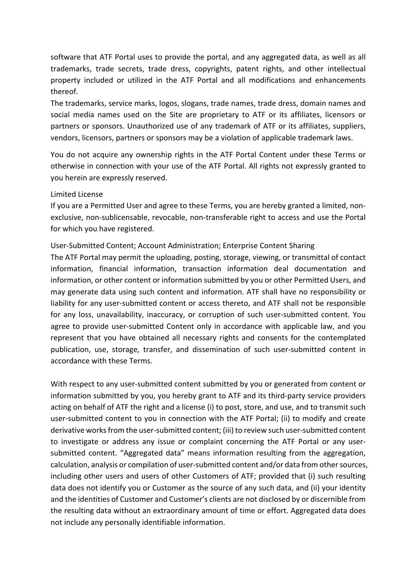software that ATF Portal uses to provide the portal, and any aggregated data, as well as all trademarks, trade secrets, trade dress, copyrights, patent rights, and other intellectual property included or utilized in the ATF Portal and all modifications and enhancements thereof.

The trademarks, service marks, logos, slogans, trade names, trade dress, domain names and social media names used on the Site are proprietary to ATF or its affiliates, licensors or partners or sponsors. Unauthorized use of any trademark of ATF or its affiliates, suppliers, vendors, licensors, partners or sponsors may be a violation of applicable trademark laws.

You do not acquire any ownership rights in the ATF Portal Content under these Terms or otherwise in connection with your use of the ATF Portal. All rights not expressly granted to you herein are expressly reserved.

#### Limited License

If you are a Permitted User and agree to these Terms, you are hereby granted a limited, nonexclusive, non-sublicensable, revocable, non-transferable right to access and use the Portal for which you have registered.

# User-Submitted Content; Account Administration; Enterprise Content Sharing

The ATF Portal may permit the uploading, posting, storage, viewing, or transmittal of contact information, financial information, transaction information deal documentation and information, or other content or information submitted by you or other Permitted Users, and may generate data using such content and information. ATF shall have no responsibility or liability for any user-submitted content or access thereto, and ATF shall not be responsible for any loss, unavailability, inaccuracy, or corruption of such user-submitted content. You agree to provide user-submitted Content only in accordance with applicable law, and you represent that you have obtained all necessary rights and consents for the contemplated publication, use, storage, transfer, and dissemination of such user-submitted content in accordance with these Terms.

With respect to any user-submitted content submitted by you or generated from content or information submitted by you, you hereby grant to ATF and its third-party service providers acting on behalf of ATF the right and a license (i) to post, store, and use, and to transmit such user-submitted content to you in connection with the ATF Portal; (ii) to modify and create derivative works from the user-submitted content; (iii) to review such user-submitted content to investigate or address any issue or complaint concerning the ATF Portal or any usersubmitted content. "Aggregated data" means information resulting from the aggregation, calculation, analysis or compilation of user-submitted content and/or data from other sources, including other users and users of other Customers of ATF; provided that (i) such resulting data does not identify you or Customer as the source of any such data, and (ii) your identity and the identities of Customer and Customer's clients are not disclosed by or discernible from the resulting data without an extraordinary amount of time or effort. Aggregated data does not include any personally identifiable information.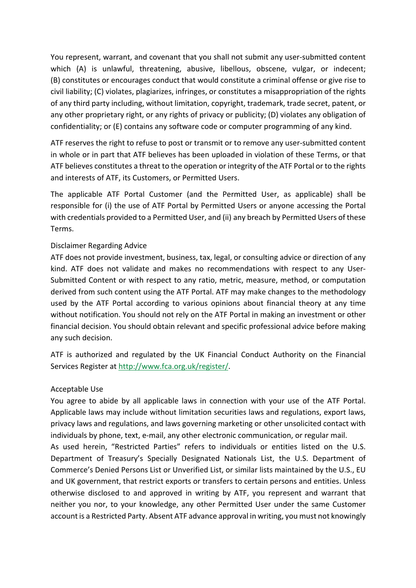You represent, warrant, and covenant that you shall not submit any user-submitted content which (A) is unlawful, threatening, abusive, libellous, obscene, vulgar, or indecent; (B) constitutes or encourages conduct that would constitute a criminal offense or give rise to civil liability; (C) violates, plagiarizes, infringes, or constitutes a misappropriation of the rights of any third party including, without limitation, copyright, trademark, trade secret, patent, or any other proprietary right, or any rights of privacy or publicity; (D) violates any obligation of confidentiality; or (E) contains any software code or computer programming of any kind.

ATF reserves the right to refuse to post or transmit or to remove any user-submitted content in whole or in part that ATF believes has been uploaded in violation of these Terms, or that ATF believes constitutes a threat to the operation or integrity of the ATF Portal or to the rights and interests of ATF, its Customers, or Permitted Users.

The applicable ATF Portal Customer (and the Permitted User, as applicable) shall be responsible for (i) the use of ATF Portal by Permitted Users or anyone accessing the Portal with credentials provided to a Permitted User, and (ii) any breach by Permitted Users of these Terms.

#### Disclaimer Regarding Advice

ATF does not provide investment, business, tax, legal, or consulting advice or direction of any kind. ATF does not validate and makes no recommendations with respect to any User-Submitted Content or with respect to any ratio, metric, measure, method, or computation derived from such content using the ATF Portal. ATF may make changes to the methodology used by the ATF Portal according to various opinions about financial theory at any time without notification. You should not rely on the ATF Portal in making an investment or other financial decision. You should obtain relevant and specific professional advice before making any such decision.

ATF is authorized and regulated by the UK Financial Conduct Authority on the Financial Services Register at http://www.fca.org.uk/register/.

# Acceptable Use

You agree to abide by all applicable laws in connection with your use of the ATF Portal. Applicable laws may include without limitation securities laws and regulations, export laws, privacy laws and regulations, and laws governing marketing or other unsolicited contact with individuals by phone, text, e-mail, any other electronic communication, or regular mail.

As used herein, "Restricted Parties" refers to individuals or entities listed on the U.S. Department of Treasury's Specially Designated Nationals List, the U.S. Department of Commerce's Denied Persons List or Unverified List, or similar lists maintained by the U.S., EU and UK government, that restrict exports or transfers to certain persons and entities. Unless otherwise disclosed to and approved in writing by ATF, you represent and warrant that neither you nor, to your knowledge, any other Permitted User under the same Customer account is a Restricted Party. Absent ATF advance approval in writing, you must not knowingly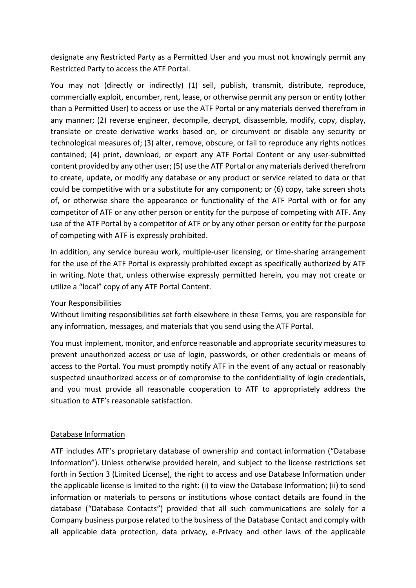designate any Restricted Party as a Permitted User and you must not knowingly permit any Restricted Party to access the ATF Portal.

You may not (directly or indirectly) (1) sell, publish, transmit, distribute, reproduce, commercially exploit, encumber, rent, lease, or otherwise permit any person or entity (other than a Permitted User) to access or use the ATF Portal or any materials derived therefrom in any manner; (2) reverse engineer, decompile, decrypt, disassemble, modify, copy, display, translate or create derivative works based on, or circumvent or disable any security or technological measures of; (3) alter, remove, obscure, or fail to reproduce any rights notices contained; (4) print, download, or export any ATF Portal Content or any user-submitted content provided by any other user; (5) use the ATF Portal or any materials derived therefrom to create, update, or modify any database or any product or service related to data or that could be competitive with or a substitute for any component; or (6) copy, take screen shots of, or otherwise share the appearance or functionality of the ATF Portal with or for any competitor of ATF or any other person or entity for the purpose of competing with ATF. Any use of the ATF Portal by a competitor of ATF or by any other person or entity for the purpose of competing with ATF is expressly prohibited.

In addition, any service bureau work, multiple-user licensing, or time-sharing arrangement for the use of the ATF Portal is expressly prohibited except as specifically authorized by ATF in writing. Note that, unless otherwise expressly permitted herein, you may not create or utilize a "local" copy of any ATF Portal Content.

# Your Responsibilities

Without limiting responsibilities set forth elsewhere in these Terms, you are responsible for any information, messages, and materials that you send using the ATF Portal.

You must implement, monitor, and enforce reasonable and appropriate security measures to prevent unauthorized access or use of login, passwords, or other credentials or means of access to the Portal. You must promptly notify ATF in the event of any actual or reasonably suspected unauthorized access or of compromise to the confidentiality of login credentials, and you must provide all reasonable cooperation to ATF to appropriately address the situation to ATF's reasonable satisfaction.

#### Database Information

ATF includes ATF's proprietary database of ownership and contact information ("Database Information"). Unless otherwise provided herein, and subject to the license restrictions set forth in Section 3 (Limited License), the right to access and use Database Information under the applicable license is limited to the right: (i) to view the Database Information; (ii) to send information or materials to persons or institutions whose contact details are found in the database ("Database Contacts") provided that all such communications are solely for a Company business purpose related to the business of the Database Contact and comply with all applicable data protection, data privacy, e-Privacy and other laws of the applicable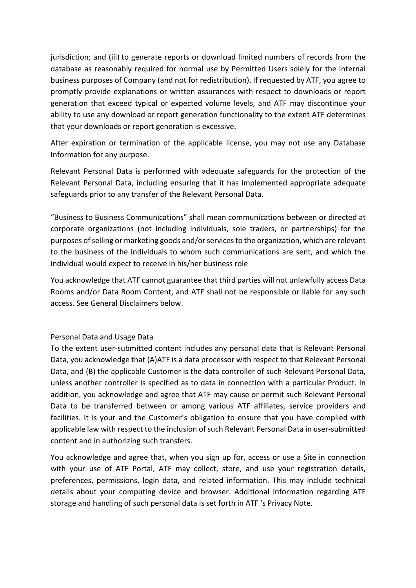jurisdiction; and (iii) to generate reports or download limited numbers of records from the database as reasonably required for normal use by Permitted Users solely for the internal business purposes of Company (and not for redistribution). If requested by ATF, you agree to promptly provide explanations or written assurances with respect to downloads or report generation that exceed typical or expected volume levels, and ATF may discontinue your ability to use any download or report generation functionality to the extent ATF determines that your downloads or report generation is excessive.

After expiration or termination of the applicable license, you may not use any Database Information for any purpose.

Relevant Personal Data is performed with adequate safeguards for the protection of the Relevant Personal Data, including ensuring that it has implemented appropriate adequate safeguards prior to any transfer of the Relevant Personal Data.

"Business to Business Communications" shall mean communications between or directed at corporate organizations (not including individuals, sole traders, or partnerships) for the purposes of selling or marketing goods and/or services to the organization, which are relevant to the business of the individuals to whom such communications are sent, and which the individual would expect to receive in his/her business role

You acknowledge that ATF cannot guarantee that third parties will not unlawfully access Data Rooms and/or Data Room Content, and ATF shall not be responsible or liable for any such access. See General Disclaimers below.

# Personal Data and Usage Data

To the extent user-submitted content includes any personal data that is Relevant Personal Data, you acknowledge that (A)ATF is a data processor with respect to that Relevant Personal Data, and (B) the applicable Customer is the data controller of such Relevant Personal Data, unless another controller is specified as to data in connection with a particular Product. In addition, you acknowledge and agree that ATF may cause or permit such Relevant Personal Data to be transferred between or among various ATF affiliates, service providers and facilities. It is your and the Customer's obligation to ensure that you have complied with applicable law with respect to the inclusion of such Relevant Personal Data in user-submitted content and in authorizing such transfers.

You acknowledge and agree that, when you sign up for, access or use a Site in connection with your use of ATF Portal, ATF may collect, store, and use your registration details, preferences, permissions, login data, and related information. This may include technical details about your computing device and browser. Additional information regarding ATF storage and handling of such personal data is set forth in ATF 's Privacy Note.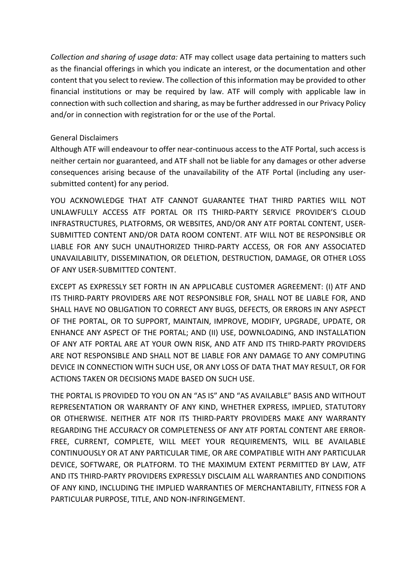*Collection and sharing of usage data:* ATF may collect usage data pertaining to matters such as the financial offerings in which you indicate an interest, or the documentation and other content that you select to review. The collection of this information may be provided to other financial institutions or may be required by law. ATF will comply with applicable law in connection with such collection and sharing, as may be further addressed in our Privacy Policy and/or in connection with registration for or the use of the Portal.

#### General Disclaimers

Although ATF will endeavour to offer near-continuous access to the ATF Portal, such access is neither certain nor guaranteed, and ATF shall not be liable for any damages or other adverse consequences arising because of the unavailability of the ATF Portal (including any usersubmitted content) for any period.

YOU ACKNOWLEDGE THAT ATF CANNOT GUARANTEE THAT THIRD PARTIES WILL NOT UNLAWFULLY ACCESS ATF PORTAL OR ITS THIRD-PARTY SERVICE PROVIDER'S CLOUD INFRASTRUCTURES, PLATFORMS, OR WEBSITES, AND/OR ANY ATF PORTAL CONTENT, USER-SUBMITTED CONTENT AND/OR DATA ROOM CONTENT. ATF WILL NOT BE RESPONSIBLE OR LIABLE FOR ANY SUCH UNAUTHORIZED THIRD-PARTY ACCESS, OR FOR ANY ASSOCIATED UNAVAILABILITY, DISSEMINATION, OR DELETION, DESTRUCTION, DAMAGE, OR OTHER LOSS OF ANY USER-SUBMITTED CONTENT.

EXCEPT AS EXPRESSLY SET FORTH IN AN APPLICABLE CUSTOMER AGREEMENT: (I) ATF AND ITS THIRD-PARTY PROVIDERS ARE NOT RESPONSIBLE FOR, SHALL NOT BE LIABLE FOR, AND SHALL HAVE NO OBLIGATION TO CORRECT ANY BUGS, DEFECTS, OR ERRORS IN ANY ASPECT OF THE PORTAL, OR TO SUPPORT, MAINTAIN, IMPROVE, MODIFY, UPGRADE, UPDATE, OR ENHANCE ANY ASPECT OF THE PORTAL; AND (II) USE, DOWNLOADING, AND INSTALLATION OF ANY ATF PORTAL ARE AT YOUR OWN RISK, AND ATF AND ITS THIRD-PARTY PROVIDERS ARE NOT RESPONSIBLE AND SHALL NOT BE LIABLE FOR ANY DAMAGE TO ANY COMPUTING DEVICE IN CONNECTION WITH SUCH USE, OR ANY LOSS OF DATA THAT MAY RESULT, OR FOR ACTIONS TAKEN OR DECISIONS MADE BASED ON SUCH USE.

THE PORTAL IS PROVIDED TO YOU ON AN "AS IS" AND "AS AVAILABLE" BASIS AND WITHOUT REPRESENTATION OR WARRANTY OF ANY KIND, WHETHER EXPRESS, IMPLIED, STATUTORY OR OTHERWISE. NEITHER ATF NOR ITS THIRD-PARTY PROVIDERS MAKE ANY WARRANTY REGARDING THE ACCURACY OR COMPLETENESS OF ANY ATF PORTAL CONTENT ARE ERROR-FREE, CURRENT, COMPLETE, WILL MEET YOUR REQUIREMENTS, WILL BE AVAILABLE CONTINUOUSLY OR AT ANY PARTICULAR TIME, OR ARE COMPATIBLE WITH ANY PARTICULAR DEVICE, SOFTWARE, OR PLATFORM. TO THE MAXIMUM EXTENT PERMITTED BY LAW, ATF AND ITS THIRD-PARTY PROVIDERS EXPRESSLY DISCLAIM ALL WARRANTIES AND CONDITIONS OF ANY KIND, INCLUDING THE IMPLIED WARRANTIES OF MERCHANTABILITY, FITNESS FOR A PARTICULAR PURPOSE, TITLE, AND NON-INFRINGEMENT.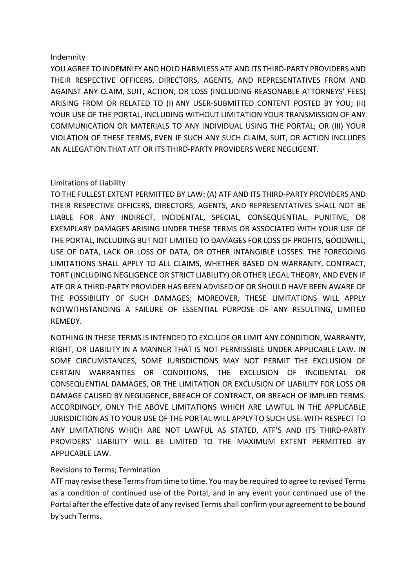#### Indemnity

YOU AGREE TO INDEMNIFY AND HOLD HARMLESS ATF AND ITS THIRD-PARTY PROVIDERS AND THEIR RESPECTIVE OFFICERS, DIRECTORS, AGENTS, AND REPRESENTATIVES FROM AND AGAINST ANY CLAIM, SUIT, ACTION, OR LOSS (INCLUDING REASONABLE ATTORNEYS' FEES) ARISING FROM OR RELATED TO (I) ANY USER-SUBMITTED CONTENT POSTED BY YOU; (II) YOUR USE OF THE PORTAL, INCLUDING WITHOUT LIMITATION YOUR TRANSMISSION OF ANY COMMUNICATION OR MATERIALS TO ANY INDIVIDUAL USING THE PORTAL; OR (III) YOUR VIOLATION OF THESE TERMS, EVEN IF SUCH ANY SUCH CLAIM, SUIT, OR ACTION INCLUDES AN ALLEGATION THAT ATF OR ITS THIRD-PARTY PROVIDERS WERE NEGLIGENT.

# Limitations of Liability

TO THE FULLEST EXTENT PERMITTED BY LAW: (A) ATF AND ITS THIRD-PARTY PROVIDERS AND THEIR RESPECTIVE OFFICERS, DIRECTORS, AGENTS, AND REPRESENTATIVES SHALL NOT BE LIABLE FOR ANY INDIRECT, INCIDENTAL, SPECIAL, CONSEQUENTIAL, PUNITIVE, OR EXEMPLARY DAMAGES ARISING UNDER THESE TERMS OR ASSOCIATED WITH YOUR USE OF THE PORTAL, INCLUDING BUT NOT LIMITED TO DAMAGES FOR LOSS OF PROFITS, GOODWILL, USE OF DATA, LACK OR LOSS OF DATA, OR OTHER INTANGIBLE LOSSES. THE FOREGOING LIMITATIONS SHALL APPLY TO ALL CLAIMS, WHETHER BASED ON WARRANTY, CONTRACT, TORT (INCLUDING NEGLIGENCE OR STRICT LIABILITY) OR OTHER LEGAL THEORY, AND EVEN IF ATF OR A THIRD-PARTY PROVIDER HAS BEEN ADVISED OF OR SHOULD HAVE BEEN AWARE OF THE POSSIBILITY OF SUCH DAMAGES; MOREOVER, THESE LIMITATIONS WILL APPLY NOTWITHSTANDING A FAILURE OF ESSENTIAL PURPOSE OF ANY RESULTING, LIMITED REMEDY.

NOTHING IN THESE TERMS IS INTENDED TO EXCLUDE OR LIMIT ANY CONDITION, WARRANTY, RIGHT, OR LIABILITY IN A MANNER THAT IS NOT PERMISSIBLE UNDER APPLICABLE LAW. IN SOME CIRCUMSTANCES, SOME JURISDICTIONS MAY NOT PERMIT THE EXCLUSION OF CERTAIN WARRANTIES OR CONDITIONS, THE EXCLUSION OF INCIDENTAL OR CONSEQUENTIAL DAMAGES, OR THE LIMITATION OR EXCLUSION OF LIABILITY FOR LOSS OR DAMAGE CAUSED BY NEGLIGENCE, BREACH OF CONTRACT, OR BREACH OF IMPLIED TERMS. ACCORDINGLY, ONLY THE ABOVE LIMITATIONS WHICH ARE LAWFUL IN THE APPLICABLE JURISDICTION AS TO YOUR USE OF THE PORTAL WILL APPLY TO SUCH USE. WITH RESPECT TO ANY LIMITATIONS WHICH ARE NOT LAWFUL AS STATED, ATF'S AND ITS THIRD-PARTY PROVIDERS' LIABILITY WILL BE LIMITED TO THE MAXIMUM EXTENT PERMITTED BY APPLICABLE LAW.

# Revisions to Terms; Termination

ATF may revise these Terms from time to time. You may be required to agree to revised Terms as a condition of continued use of the Portal, and in any event your continued use of the Portal after the effective date of any revised Terms shall confirm your agreement to be bound by such Terms.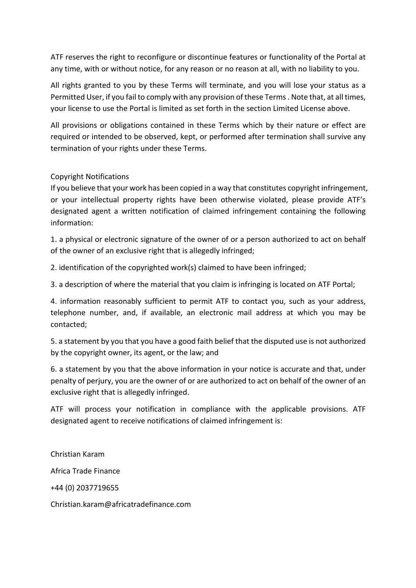ATF reserves the right to reconfigure or discontinue features or functionality of the Portal at any time, with or without notice, for any reason or no reason at all, with no liability to you.

All rights granted to you by these Terms will terminate, and you will lose your status as a Permitted User, if you fail to comply with any provision of these Terms . Note that, at all times, your license to use the Portal is limited as set forth in the section Limited License above.

All provisions or obligations contained in these Terms which by their nature or effect are required or intended to be observed, kept, or performed after termination shall survive any termination of your rights under these Terms.

# Copyright Notifications

If you believe that your work has been copied in a way that constitutes copyright infringement, or your intellectual property rights have been otherwise violated, please provide ATF's designated agent a written notification of claimed infringement containing the following information:

1. a physical or electronic signature of the owner of or a person authorized to act on behalf of the owner of an exclusive right that is allegedly infringed;

2. identification of the copyrighted work(s) claimed to have been infringed;

3. a description of where the material that you claim is infringing is located on ATF Portal;

4. information reasonably sufficient to permit ATF to contact you, such as your address, telephone number, and, if available, an electronic mail address at which you may be contacted;

5. a statement by you that you have a good faith belief that the disputed use is not authorized by the copyright owner, its agent, or the law; and

6. a statement by you that the above information in your notice is accurate and that, under penalty of perjury, you are the owner of or are authorized to act on behalf of the owner of an exclusive right that is allegedly infringed.

ATF will process your notification in compliance with the applicable provisions. ATF designated agent to receive notifications of claimed infringement is:

Christian Karam Africa Trade Finance +44 (0) 2037719655 Christian.karam@africatradefinance.com